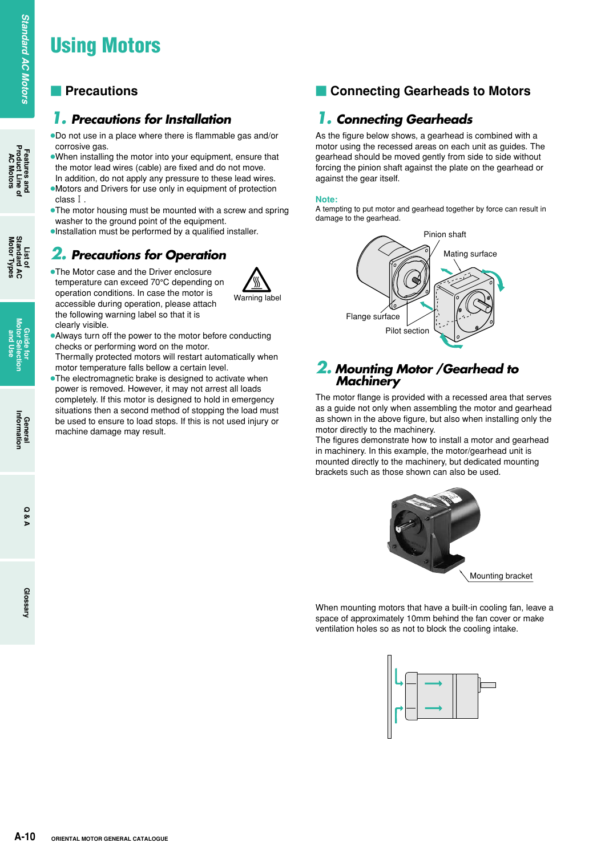# **Using Motors**

# *1. Precautions for Installation*

●Do not use in a place where there is flammable gas and/or corrosive gas.

- ●When installing the motor into your equipment, ensure that the motor lead wires (cable) are fixed and do not move.
- In addition, do not apply any pressure to these lead wires. ●Motors and Drivers for use only in equipment of protection class1.
- ●The motor housing must be mounted with a screw and spring washer to the ground point of the equipment.
- ●Installation must be performed by a qualified installer.

# *2. Precautions for Operation*

●The Motor case and the Driver enclosure temperature can exceed 70°C depending on operation conditions. In case the motor is accessible during operation, please attach the following warning label so that it is clearly visible.

machine damage may result.



- ●Always turn off the power to the motor before conducting checks or performing word on the motor. Thermally protected motors will restart automatically when
- motor temperature falls bellow a certain level. ●The electromagnetic brake is designed to activate when power is removed. However, it may not arrest all loads completely. If this motor is designed to hold in emergency situations then a second method of stopping the load must be used to ensure to load stops. If this is not used injury or

# **Precautions Precautions Precautions Precautions Precautions Precautions**

# *1. Connecting Gearheads*

As the figure below shows, a gearhead is combined with a motor using the recessed areas on each unit as guides. The gearhead should be moved gently from side to side without forcing the pinion shaft against the plate on the gearhead or against the gear itself.

#### **Note:**

A tempting to put motor and gearhead together by force can result in damage to the gearhead.



## *2. Mounting Motor /Gearhead to Machinery*

The motor flange is provided with a recessed area that serves as a guide not only when assembling the motor and gearhead as shown in the above figure, but also when installing only the motor directly to the machinery.

The figures demonstrate how to install a motor and gearhead in machinery. In this example, the motor/gearhead unit is mounted directly to the machinery, but dedicated mounting brackets such as those shown can also be used.



When mounting motors that have a built-in cooling fan, leave a space of approximately 10mm behind the fan cover or make ventilation holes so as not to block the cooling intake.



**List of Motor Types Standard AC**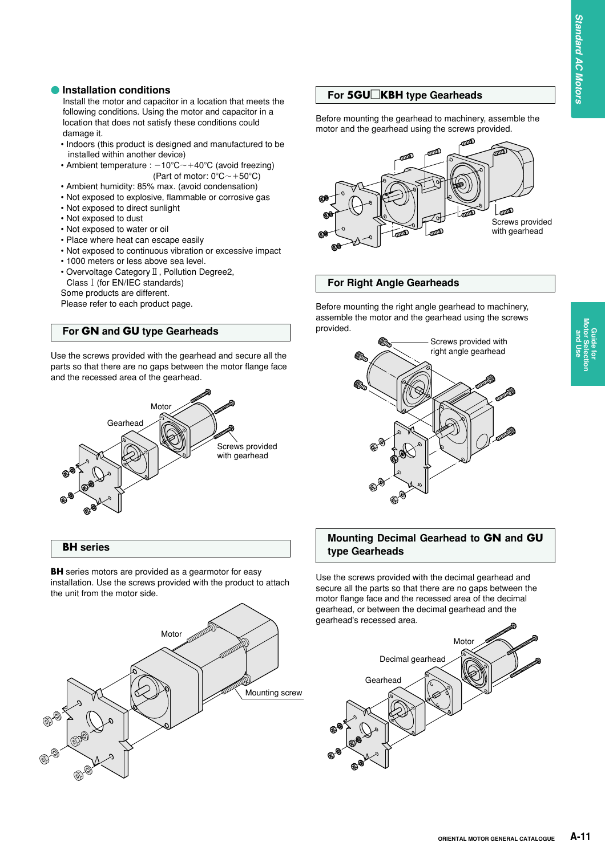**Guide for Motor Selection and Use**

Guide for<br>**Aotor Selectior** 

#### **• Installation conditions**

Install the motor and capacitor in a location that meets the following conditions. Using the motor and capacitor in a location that does not satisfy these conditions could damage it.

- Indoors (this product is designed and manufactured to be installed within another device)
- Ambient temperature :  $-10^{\circ}$ C $\sim$ +40°C (avoid freezing) (Part of motor:  $0^{\circ}$ C $\sim$  +50 $^{\circ}$ C)
- Ambient humidity: 85% max. (avoid condensation)
- Not exposed to explosive, flammable or corrosive gas
- Not exposed to direct sunlight
- Not exposed to dust
- Not exposed to water or oil
- Place where heat can escape easily
- Not exposed to continuous vibration or excessive impact
- 1000 meters or less above sea level.
- Overvoltage Category II, Pollution Degree2, Class1(for EN/IEC standards)
- Some products are different.

Please refer to each product page.

#### **For GN and GU type Gearheads**

Use the screws provided with the gearhead and secure all the parts so that there are no gaps between the motor flange face and the recessed area of the gearhead.



#### **BH series**

**BH** series motors are provided as a gearmotor for easy installation. Use the screws provided with the product to attach the unit from the motor side.



#### **For 5GU**□**KBH type Gearheads**

Before mounting the gearhead to machinery, assemble the motor and the gearhead using the screws provided.



#### **For Right Angle Gearheads**

Before mounting the right angle gearhead to machinery, assemble the motor and the gearhead using the screws provided.



#### **Mounting Decimal Gearhead to GN and GU type Gearheads**

Use the screws provided with the decimal gearhead and secure all the parts so that there are no gaps between the motor flange face and the recessed area of the decimal gearhead, or between the decimal gearhead and the gearhead's recessed area.

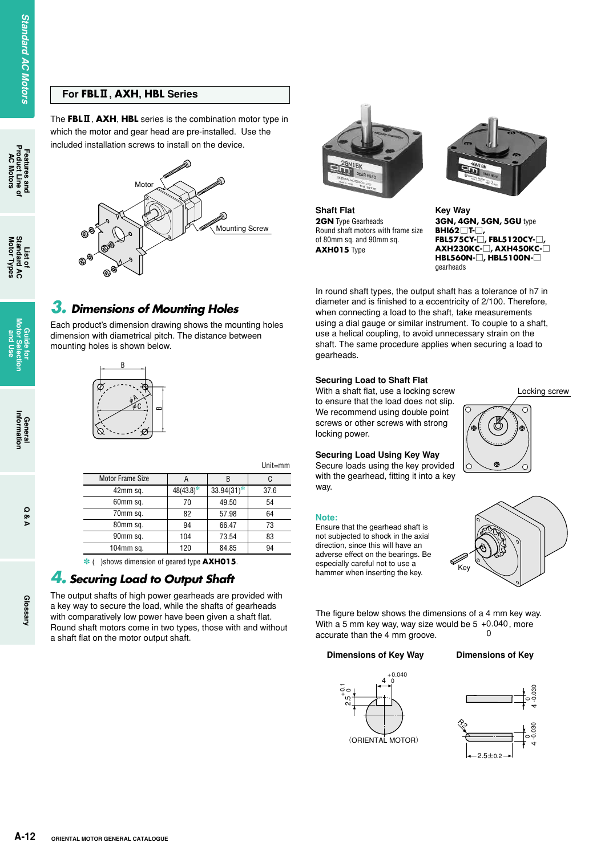#### **For FBL**2**, AXH, HBL Series**

The **FBL**2, **AXH**, **HBL** series is the combination motor type in which the motor and gear head are pre-installed. Use the included installation screws to install on the device.



*3. Dimensions of Mounting Holes*

mounting holes is shown below.

Motor Frame Size 42mm sq. 60mm sq. 70mm sq. 80mm sq. 90mm sq. 104mm sq.

*4. Securing Load to Output Shaft*

a shaft flat on the motor output shaft.

The output shafts of high power gearheads are provided with a key way to secure the load, while the shafts of gearheads with comparatively low power have been given a shaft flat. Round shaft motors come in two types, those with and without

- ( )shows dimension of geared type **AXH015**.

φA φC

Each product's dimension drawing shows the mounting holes dimension with diametrical pitch. The distance between

B

B 33.94(31)-49.50 57.98 66.47 73.54 84.85

Unit=mm



**Shaft Flat 2GN** Type Gearheads Round shaft motors with frame size of 80mm sq. and 90mm sq. **AXH015** Type



**Key Way 3GN, 4GN, 5GN, 5GU** type **BHI62**□**T-**□**, FBL575CY-**□**, FBL5120CY-**□**, AXH230KC-**□**, AXH450KC-**□ **HBL560N-**□**, HBL5100N-**□ gearheads

In round shaft types, the output shaft has a tolerance of h7 in diameter and is finished to a eccentricity of 2/100. Therefore, when connecting a load to the shaft, take measurements using a dial gauge or similar instrument. To couple to a shaft, use a helical coupling, to avoid unnecessary strain on the shaft. The same procedure applies when securing a load to gearheads.

#### **Securing Load to Shaft Flat**

With a shaft flat, use a locking screw to ensure that the load does not slip. We recommend using double point screws or other screws with strong locking power.

#### **Securing Load Using Key Way**

Secure loads using the key provided with the gearhead, fitting it into a key way.

#### **Note:**

Ensure that the gearhead shaft is not subjected to shock in the axial direction, since this will have an adverse effect on the bearings. Be especially careful not to use a hammer when inserting the key.

Locking screw  $\bigcap$ 



The figure below shows the dimensions of a 4 mm key way. With a 5 mm key way, way size would be  $5 + 0.040$ , more accurate than the 4 mm groove.  $\Omega$ 

#### **Dimensions of Key Way Dimensions of Key**





**List of**<br>Standard AC **Motor Types Standard AC** 

**Aotor Types** 

**AC Motors**

**Features and<br>Product Line c**<br>AC Motors

**Standard AC Motors**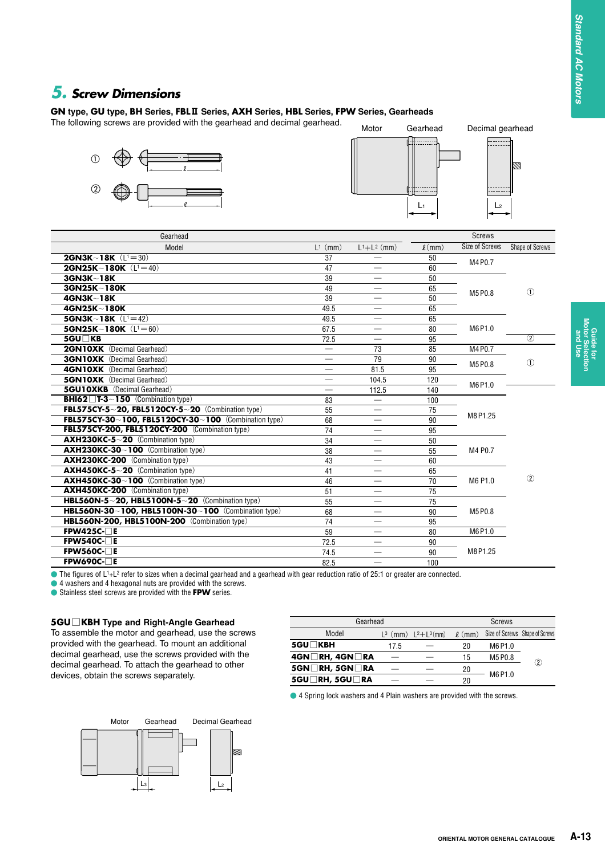И

**Guide for Motor Selection and Use**

# *5. Screw Dimensions*

#### **GN type, GU type, BH Series, FBL**2 **Series, AXH Series, HBL Series, FPW Series, Gearheads**

The following screws are provided with the gearhead and decimal gearhead.





| Gearhead                                                                    |                 |                          |                | <b>Screws</b>  |                 |
|-----------------------------------------------------------------------------|-----------------|--------------------------|----------------|----------------|-----------------|
| Model                                                                       | $L^1$ (mm)      | $L^{1}+L^{2}$ (mm)       | $\ell$ (mm)    | Size of Screws | Shape of Screws |
| <b>2GN3K~18K</b> $(L1 = 30)$                                                | $\overline{37}$ |                          | 50<br>M4 P0.7  |                |                 |
| 2GN25K~180K $(L1 = 40)$                                                     | 47              |                          | 60             |                |                 |
| 3GN3K~18K                                                                   | 39              |                          | 50             |                |                 |
| 3GN25K~180K                                                                 | 49              |                          | 65             | (1)            |                 |
| 4GN3K~18K                                                                   | 39              | $\overline{\phantom{0}}$ | 50             | M5 P0.8        |                 |
| 4GN25K~180K                                                                 | 49.5            |                          | 65             |                |                 |
| <b>5GN3K~18K</b> $(L1 = 42)$                                                | 49.5            | $\overline{\phantom{0}}$ | 65             |                |                 |
| 5GN25K~180K $(L1 = 60)$                                                     | 67.5            | $\overline{\phantom{0}}$ | 80             | M6 P1.0        |                 |
| 5GU□KB                                                                      | 72.5            |                          | 95             |                | $\overline{2}$  |
| <b>2GN10XK</b> (Decimal Gearhead)                                           |                 | 73                       | 85             | M4 P0.7        |                 |
| <b>3GN10XK</b> (Decimal Gearhead)                                           |                 | 79                       | 90             | M5 P0.8        | (1)             |
| <b>4GN10XK</b> (Decimal Gearhead)                                           |                 | 81.5                     | 95             |                |                 |
| <b>5GN10XK</b> (Decimal Gearhead)                                           |                 | 104.5                    | 120<br>M6 P1.0 |                |                 |
| <b>5GU10XKB</b> (Decimal Gearhead)                                          |                 | 112.5                    | 140            |                |                 |
| <b>BHI62</b> $\overline{I}$ <b>T-3</b> $\sim$ <b>150</b> (Combination type) | 83              | $\overline{\phantom{0}}$ | 100            |                |                 |
| FBL575CY-5~20, FBL5120CY-5~20 (Combination type)                            | 55              |                          | 75             | M8 P1.25       |                 |
| FBL575CY-30~100, FBL5120CY-30~100 (Combination type)                        | 68              |                          | 90             |                |                 |
| FBL575CY-200, FBL5120CY-200 (Combination type)                              | 74              |                          | 95             |                |                 |
| AXH230KC-5~20 (Combination type)                                            | 34              |                          | 50             |                |                 |
| AXH230KC-30~100 (Combination type)                                          | 38              |                          | 55             | M4 P0.7        |                 |
| AXH230KC-200 (Combination type)                                             | 43              |                          | 60             |                |                 |
| AXH450KC-5~20 (Combination type)                                            | 41              |                          | 65             |                |                 |
| AXH450KC-30~100 (Combination type)                                          | 46              |                          | 70             | M6 P1.0        | (2)             |
| <b>AXH450KC-200</b> (Combination type)                                      | 51              |                          | 75             |                |                 |
| HBL560N-5~20, HBL5100N-5~20 (Combination type)                              | 55              |                          | 75             |                |                 |
| HBL560N-30~100, HBL5100N-30~100 (Combination type)                          | 68              |                          | 90             | M5 P0.8        |                 |
| HBL560N-200, HBL5100N-200 (Combination type)                                | 74              |                          | 95             |                |                 |
| $FPW425C-$                                                                  | 59              |                          | 80             | M6 P1.0        |                 |
| $FPW540C-TE$                                                                | 72.5            |                          | 90             |                |                 |
| $FPW560C-TE$                                                                | 74.5            |                          | 90             | M8 P1.25       |                 |
| $FPW690C-TE$                                                                | 82.5            |                          | 100            |                |                 |

● The figures of L<sup>1</sup>+L<sup>2</sup> refer to sizes when a decimal gearhead and a gearhead with gear reduction ratio of 25:1 or greater are connected.

 $\bullet$  4 washers and 4 hexagonal nuts are provided with the screws.

- Stainless steel screws are provided with the **FPW** series.

#### **5GU**□**KBH Type and Right-Angle Gearhead**

To assemble the motor and gearhead, use the screws provided with the gearhead. To mount an additional decimal gearhead, use the screws provided with the decimal gearhead. To attach the gearhead to other devices, obtain the screws separately.

| Gearhead           |      |                             | <b>Screws</b> |                                |               |
|--------------------|------|-----------------------------|---------------|--------------------------------|---------------|
| Model              |      | $L^3$ (mm) $L^2 + L^3$ (mm) | $\ell$ (mm)   | Size of Screws Shape of Screws |               |
| 5GU□KBH            | 17.5 |                             | 20            | M6 P1.0                        |               |
| 4GN□RH, 4GN□RA     |      |                             | 15            | M5 P0.8                        | $\circled{2}$ |
| $5GN$ RH, $5GN$ RA |      |                             | 20            |                                |               |
| 5GU□RH, 5GU□RA     |      |                             | 20            | M6 P1.0                        |               |

● 4 Spring lock washers and 4 Plain washers are provided with the screws.

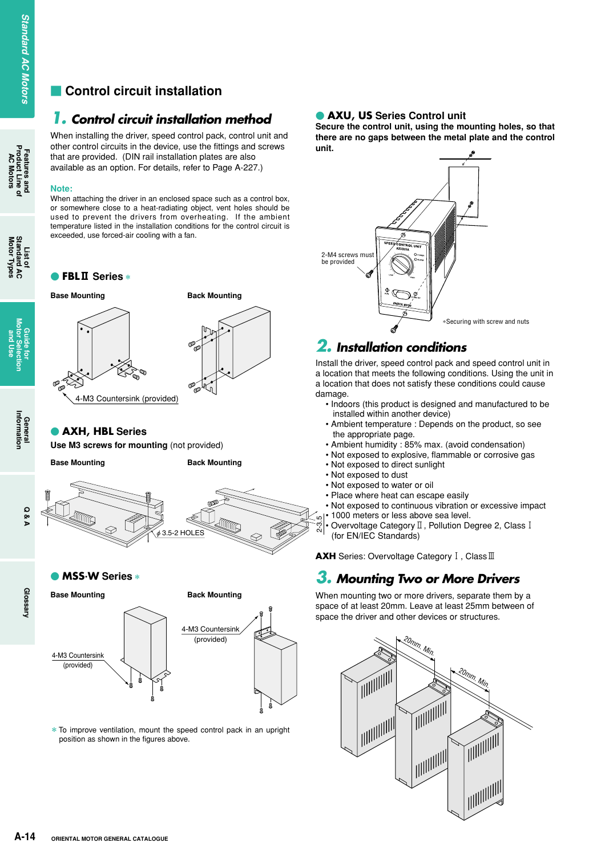# **Control circuit installation**

# *1. Control circuit installation method*

When installing the driver, speed control pack, control unit and other control circuits in the device, use the fittings and screws that are provided. (DIN rail installation plates are also available as an option. For details, refer to Page A-227.)

#### **Note:**

When attaching the driver in an enclosed space such as a control box, or somewhere close to a heat-radiating object, vent holes should be used to prevent the drivers from overheating. If the ambient temperature listed in the installation conditions for the control circuit is exceeded, use forced-air cooling with a fan.

#### - **FBL**2 **Series**\*



**Back Mounting**

### - **AXH, HBL Series**

**Use M3 screws for mounting** (not provided)

**Base Mounting**



- **MSS.W Series**\*

4-M3 Countersink (provided)

# **Glossary**





 $*$  To improve ventilation, mount the speed control pack in an upright position as shown in the figures above.

### **• AXU, US** Series Control unit

**Secure the control unit, using the mounting holes, so that there are no gaps between the metal plate and the control unit.**



# *2. Installation conditions*

Install the driver, speed control pack and speed control unit in a location that meets the following conditions. Using the unit in a location that does not satisfy these conditions could cause damage.

- Indoors (this product is designed and manufactured to be installed within another device)
- Ambient temperature : Depends on the product, so see the appropriate page.
- Ambient humidity : 85% max. (avoid condensation)
- Not exposed to explosive, flammable or corrosive gas
- Not exposed to direct sunlight
- Not exposed to dust
- Not exposed to water or oil
- Place where heat can escape easily
- Not exposed to continuous vibration or excessive impact • 1000 meters or less above sea level.
- Overvoltage Category  $\mathbb I$  , Pollution Degree 2, Class  $\mathrm I$
- (for EN/IEC Standards)

**AXH** Series: Overvoltage Category I, Class<sup>III</sup>

# *3. Mounting Two or More Drivers*

When mounting two or more drivers, separate them by a space of at least 20mm. Leave at least 25mm between of space the driver and other devices or structures.



**Features and<br>Product Line of<br>AC Motors AC Motors**

**List of<br>Standard AC<br>Motor Types Motor Types Standard AC** 

> **Guide for Motor Selection and Use**

> > **General**<br>Information **Information**

> > > **Q & A**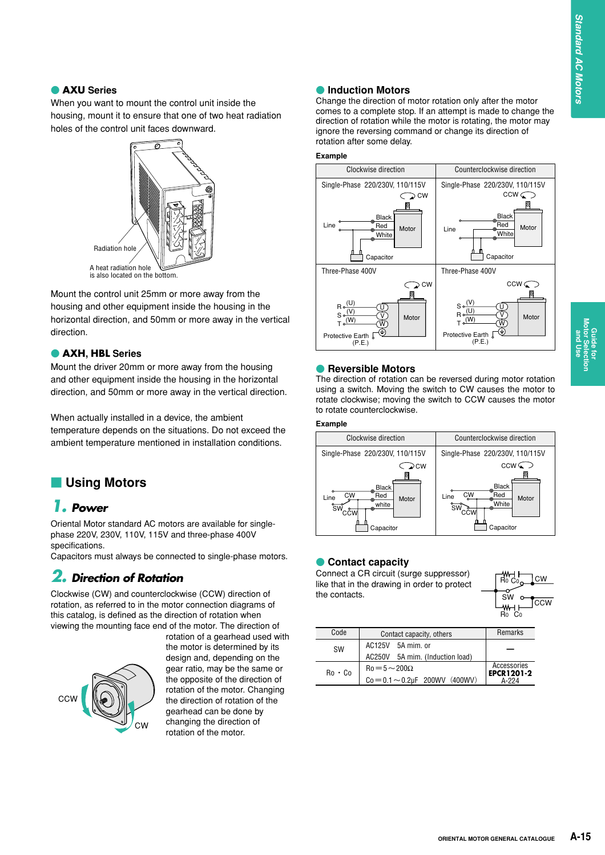**Guide for Motor Selection and Use**

**Guide for<br>Motor Selection** 

#### - **AXU Series**

When you want to mount the control unit inside the housing, mount it to ensure that one of two heat radiation holes of the control unit faces downward.



Mount the control unit 25mm or more away from the housing and other equipment inside the housing in the horizontal direction, and 50mm or more away in the vertical direction.

#### - **AXH, HBL Series**

Mount the driver 20mm or more away from the housing and other equipment inside the housing in the horizontal direction, and 50mm or more away in the vertical direction.

When actually installed in a device, the ambient temperature depends on the situations. Do not exceed the ambient temperature mentioned in installation conditions.

# **Using Motors**

# *1. Power*

Oriental Motor standard AC motors are available for singlephase 220V, 230V, 110V, 115V and three-phase 400V specifications.

Capacitors must always be connected to single-phase motors.

# *2. Direction of Rotation*

Clockwise (CW) and counterclockwise (CCW) direction of rotation, as referred to in the motor connection diagrams of this catalog, is defined as the direction of rotation when viewing the mounting face end of the motor. The direction of



rotation of a gearhead used with the motor is determined by its design and, depending on the gear ratio, may be the same or the opposite of the direction of rotation of the motor. Changing the direction of rotation of the gearhead can be done by changing the direction of rotation of the motor.

#### **• Induction Motors**

Change the direction of motor rotation only after the motor comes to a complete stop. If an attempt is made to change the direction of rotation while the motor is rotating, the motor may ignore the reversing command or change its direction of rotation after some delay.

#### **Example**



#### **• Reversible Motors**

The direction of rotation can be reversed during motor rotation using a switch. Moving the switch to CW causes the motor to rotate clockwise; moving the switch to CCW causes the motor to rotate counterclockwise.

#### **Example**



### **• Contact capacity**

Connect a CR circuit (surge suppressor) like that in the drawing in order to protect the contacts.



| Code                                      | Contact capacity, others                | Remarks                          |
|-------------------------------------------|-----------------------------------------|----------------------------------|
| SW                                        | AC125V 5A mim. or                       |                                  |
|                                           | AC250V 5A mim. (Induction load)         |                                  |
| $Ro = 5 \sim 200 \Omega$<br>$Ro \cdot Co$ |                                         | Accessories<br><b>EPCR1201-2</b> |
|                                           | $Co = 0.1 \sim 0.2 \mu F$ 200WV (400WV) | A-224                            |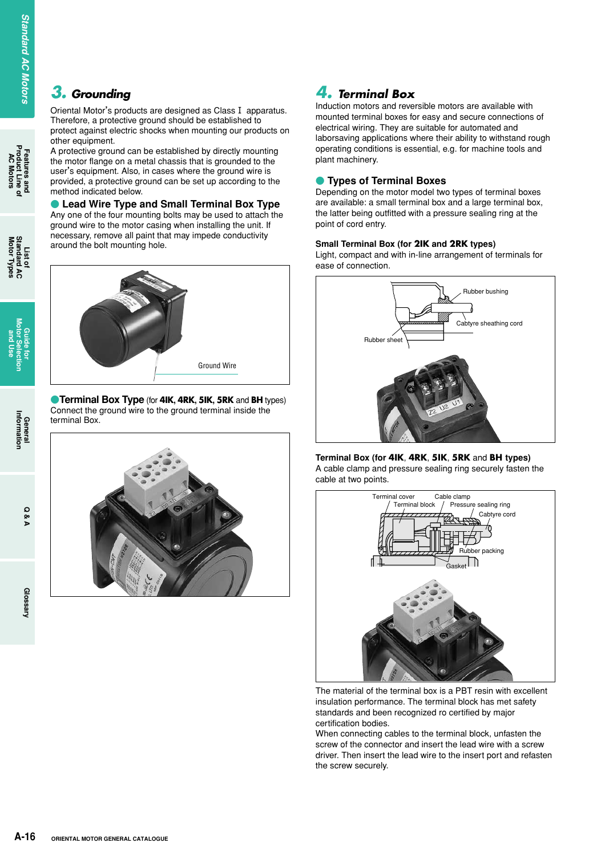# *3. Grounding*

Oriental Motor's products are designed as Class I apparatus. Therefore, a protective ground should be established to protect against electric shocks when mounting our products on other equipment.

A protective ground can be established by directly mounting the motor flange on a metal chassis that is grounded to the user's equipment. Also, in cases where the ground wire is provided, a protective ground can be set up according to the method indicated below.

 $\bullet$  **Lead Wire Type and Small Terminal Box Type** Any one of the four mounting bolts may be used to attach the ground wire to the motor casing when installing the unit. If necessary, remove all paint that may impede conductivity around the bolt mounting hole.



-**Terminal Box Type** (for **4IK, 4RK, 5IK, 5RK** and **BH** types) Connect the ground wire to the ground terminal inside the terminal Box.



# *4. Terminal Box*

Induction motors and reversible motors are available with mounted terminal boxes for easy and secure connections of electrical wiring. They are suitable for automated and laborsaving applications where their ability to withstand rough operating conditions is essential, e.g. for machine tools and plant machinery.

#### **• Types of Terminal Boxes**

Depending on the motor model two types of terminal boxes are available: a small terminal box and a large terminal box, the latter being outfitted with a pressure sealing ring at the point of cord entry.

#### **Small Terminal Box (for 2IK and 2RK types)**

Light, compact and with in-line arrangement of terminals for ease of connection.



#### **Terminal Box (for 4IK**, **4RK**, **5IK**, **5RK** and **BH types)** A cable clamp and pressure sealing ring securely fasten the cable at two points.



The material of the terminal box is a PBT resin with excellent insulation performance. The terminal block has met safety standards and been recognized ro certified by major certification bodies.

When connecting cables to the terminal block, unfasten the screw of the connector and insert the lead wire with a screw driver. Then insert the lead wire to the insert port and refasten the screw securely.

**Features and Product Line of AC Motors**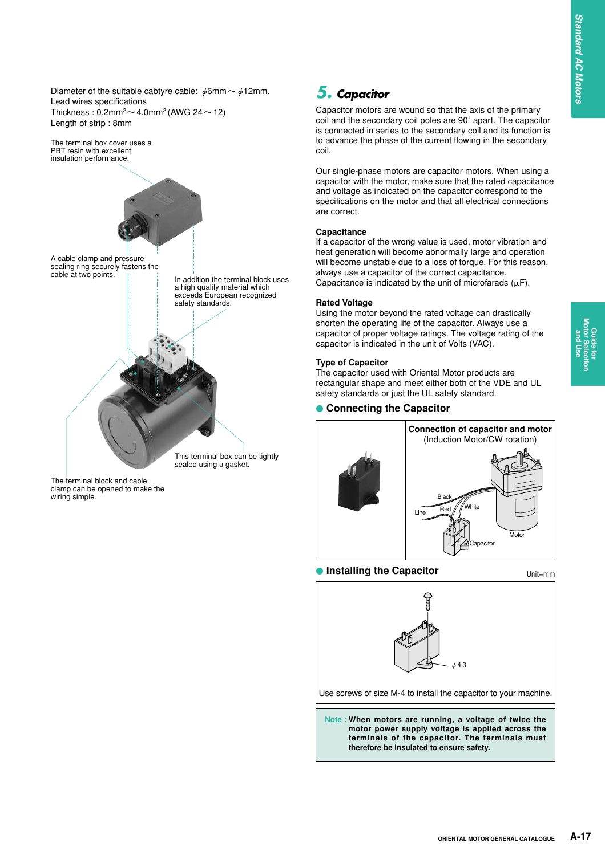Diameter of the suitable cabtyre cable:  $\phi$ 6mm ~  $\phi$ 12mm. Lead wires specifications Thickness:  $0.2$ mm<sup>2</sup> ~ 4.0mm<sup>2</sup> (AWG 24 ~ 12) Length of strip : 8mm



The terminal block and cable clamp can be opened to make the wiring simple.

# *5. Capacitor*

Capacitor motors are wound so that the axis of the primary coil and the secondary coil poles are 90˚ apart. The capacitor is connected in series to the secondary coil and its function is to advance the phase of the current flowing in the secondary coil.

Our single-phase motors are capacitor motors. When using a capacitor with the motor, make sure that the rated capacitance and voltage as indicated on the capacitor correspond to the specifications on the motor and that all electrical connections are correct.

#### **Capacitance**

If a capacitor of the wrong value is used, motor vibration and heat generation will become abnormally large and operation will become unstable due to a loss of torque. For this reason, always use a capacitor of the correct capacitance. Capacitance is indicated by the unit of microfarads  $(\mu F)$ .

#### **Rated Voltage**

Using the motor beyond the rated voltage can drastically shorten the operating life of the capacitor. Always use a capacitor of proper voltage ratings. The voltage rating of the capacitor is indicated in the unit of Volts (VAC).

#### **Type of Capacitor**

The capacitor used with Oriental Motor products are rectangular shape and meet either both of the VDE and UL safety standards or just the UL safety standard.

#### **• Connecting the Capacitor**



## **• Installing the Capacitor Example 2 Unit Emm**





Use screws of size M-4 to install the capacitor to your machine.

**Note : When motors are running, a voltage of twice the motor power supply voltage is applied across the terminals of the capacitor. The terminals must therefore be insulated to ensure safety.**

**and Use**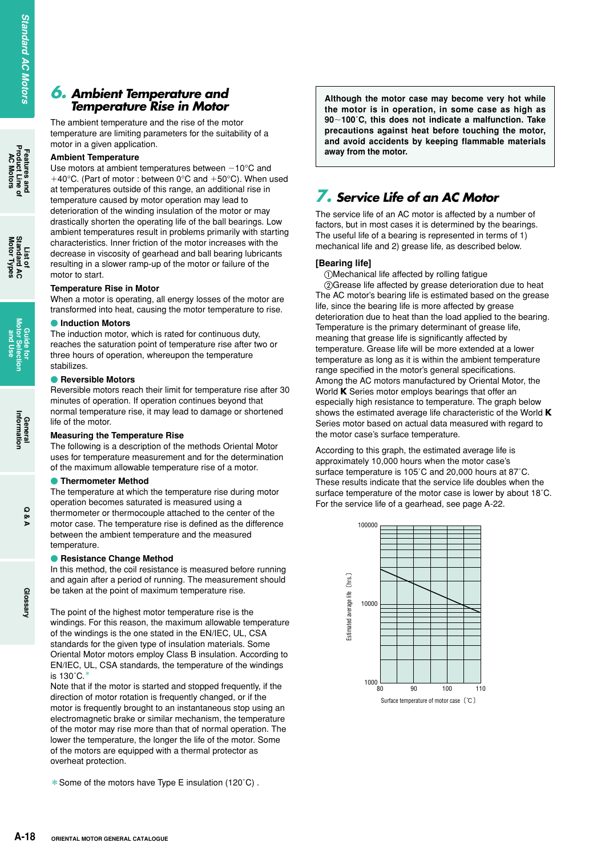# **Features and<br>Product Line c<br>AC Motors AC Motors**

**List of<br>Standard AC<br>Motor Types Motor Types Standard AC** 

# **Glossary**

## *6. Ambient Temperature and Temperature Rise in Motor*

The ambient temperature and the rise of the motor temperature are limiting parameters for the suitability of a motor in a given application.

#### **Ambient Temperature**

Use motors at ambient temperatures between  $-10^{\circ}$ C and  $+40^{\circ}$ C. (Part of motor : between 0°C and  $+50^{\circ}$ C). When used at temperatures outside of this range, an additional rise in temperature caused by motor operation may lead to deterioration of the winding insulation of the motor or may drastically shorten the operating life of the ball bearings. Low ambient temperatures result in problems primarily with starting characteristics. Inner friction of the motor increases with the decrease in viscosity of gearhead and ball bearing lubricants resulting in a slower ramp-up of the motor or failure of the motor to start.

#### **Temperature Rise in Motor**

When a motor is operating, all energy losses of the motor are transformed into heat, causing the motor temperature to rise.

#### **• Induction Motors**

The induction motor, which is rated for continuous duty, reaches the saturation point of temperature rise after two or three hours of operation, whereupon the temperature stabilizes.

#### **• Reversible Motors**

Reversible motors reach their limit for temperature rise after 30 minutes of operation. If operation continues beyond that normal temperature rise, it may lead to damage or shortened life of the motor.

#### **Measuring the Temperature Rise**

The following is a description of the methods Oriental Motor uses for temperature measurement and for the determination of the maximum allowable temperature rise of a motor.

#### **• Thermometer Method**

The temperature at which the temperature rise during motor operation becomes saturated is measured using a thermometer or thermocouple attached to the center of the motor case. The temperature rise is defined as the difference between the ambient temperature and the measured temperature.

#### **• Resistance Change Method**

In this method, the coil resistance is measured before running and again after a period of running. The measurement should be taken at the point of maximum temperature rise.

The point of the highest motor temperature rise is the windings. For this reason, the maximum allowable temperature of the windings is the one stated in the EN/IEC, UL, CSA standards for the given type of insulation materials. Some Oriental Motor motors employ Class B insulation. According to EN/IEC, UL, CSA standards, the temperature of the windings is  $130^\circ$ C.

Note that if the motor is started and stopped frequently, if the direction of motor rotation is frequently changed, or if the motor is frequently brought to an instantaneous stop using an electromagnetic brake or similar mechanism, the temperature of the motor may rise more than that of normal operation. The lower the temperature, the longer the life of the motor. Some of the motors are equipped with a thermal protector as overheat protection.

\*Some of the motors have Type E insulation (120˚C) .

**Although the motor case may become very hot while the motor is in operation, in some case as high as 90100˚C, this does not indicate a malfunction. Take precautions against heat before touching the motor, and avoid accidents by keeping flammable materials away from the motor.** 

# *7. Service Life of an AC Motor*

The service life of an AC motor is affected by a number of factors, but in most cases it is determined by the bearings. The useful life of a bearing is represented in terms of 1) mechanical life and 2) grease life, as described below.

#### **[Bearing life]**

-Mechanical life affected by rolling fatigue

Grease life affected by grease deterioration due to heat The AC motor's bearing life is estimated based on the grease life, since the bearing life is more affected by grease deterioration due to heat than the load applied to the bearing. Temperature is the primary determinant of grease life, meaning that grease life is significantly affected by temperature. Grease life will be more extended at a lower temperature as long as it is within the ambient temperature range specified in the motor's general specifications. Among the AC motors manufactured by Oriental Motor, the World **K** Series motor employs bearings that offer an especially high resistance to temperature. The graph below shows the estimated average life characteristic of the World **K** Series motor based on actual data measured with regard to the motor case's surface temperature.

According to this graph, the estimated average life is approximately 10,000 hours when the motor case's surface temperature is 105˚C and 20,000 hours at 87˚C. These results indicate that the service life doubles when the surface temperature of the motor case is lower by about 18˚C. For the service life of a gearhead, see page A-22.